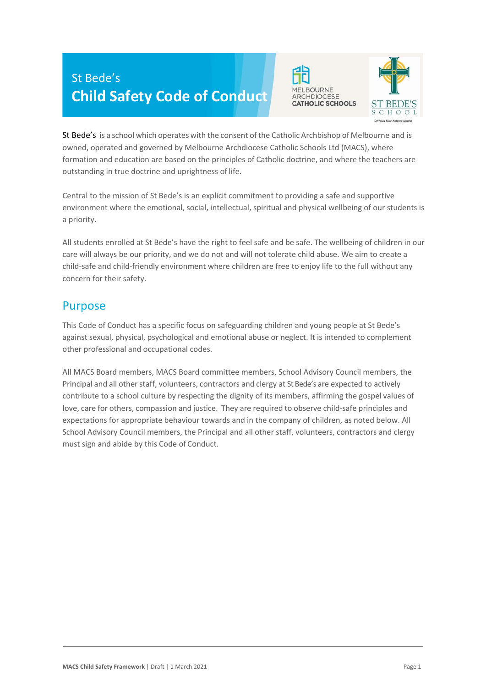# St Bede's **Child Safety Code of Conduct**





St Bede's is a school which operates with the consent of the Catholic Archbishop of Melbourne and is owned, operated and governed by Melbourne Archdiocese Catholic Schools Ltd (MACS), where formation and education are based on the principles of Catholic doctrine, and where the teachers are outstanding in true doctrine and uprightness of life.

Central to the mission of St Bede's is an explicit commitment to providing a safe and supportive environment where the emotional, social, intellectual, spiritual and physical wellbeing of our students is a priority.

All students enrolled at St Bede's have the right to feel safe and be safe. The wellbeing of children in our care will always be our priority, and we do not and will not tolerate child abuse. We aim to create a child-safe and child-friendly environment where children are free to enjoy life to the full without any concern for their safety.

#### Purpose

This Code of Conduct has a specific focus on safeguarding children and young people at St Bede's against sexual, physical, psychological and emotional abuse or neglect. It is intended to complement other professional and occupational codes.

All MACS Board members, MACS Board committee members, School Advisory Council members, the Principal and all other staff, volunteers, contractors and clergy at St Bede's are expected to actively contribute to a school culture by respecting the dignity of its members, affirming the gospel values of love, care for others, compassion and justice. They are required to observe child-safe principles and expectations for appropriate behaviour towards and in the company of children, as noted below. All School Advisory Council members, the Principal and all other staff, volunteers, contractors and clergy must sign and abide by this Code of Conduct.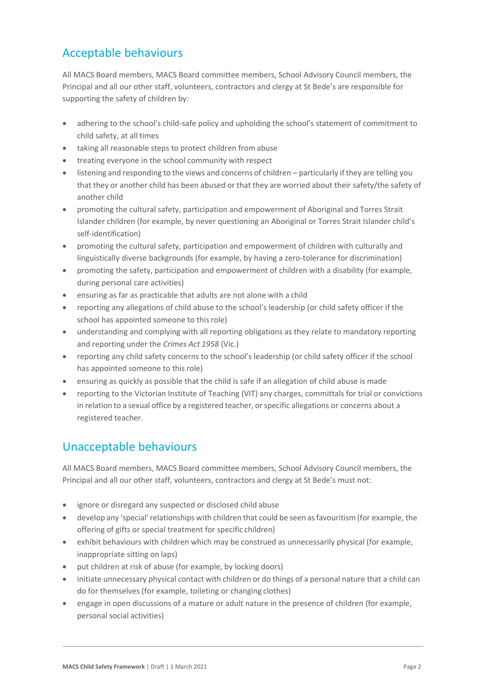# Acceptable behaviours

All MACS Board members, MACS Board committee members, School Advisory Council members, the Principal and all our other staff, volunteers, contractors and clergy at St Bede's are responsible for supporting the safety of children by:

- adhering to the school's child-safe policy and upholding the school's statement of commitment to child safety, at all times
- taking all reasonable steps to protect children from abuse
- treating everyone in the school community with respect
- listening and responding to the views and concerns of children particularly if they are telling you that they or another child has been abused or that they are worried about their safety/the safety of another child
- promoting the cultural safety, participation and empowerment of Aboriginal and Torres Strait Islander children (for example, by never questioning an Aboriginal or Torres Strait Islander child's self-identification)
- promoting the cultural safety, participation and empowerment of children with culturally and linguistically diverse backgrounds (for example, by having a zero-tolerance for discrimination)
- promoting the safety, participation and empowerment of children with a disability (for example, during personal care activities)
- ensuring as far as practicable that adults are not alone with a child
- reporting any allegations of child abuse to the school's leadership (or child safety officer if the school has appointed someone to this role)
- understanding and complying with all reporting obligations as they relate to mandatory reporting and reporting under the *Crimes Act 1958* (Vic.)
- reporting any child safety concerns to the school's leadership (or child safety officer if the school has appointed someone to this role)
- ensuring as quickly as possible that the child is safe if an allegation of child abuse is made
- reporting to the Victorian Institute of Teaching (VIT) any charges, committals for trial or convictions in relation to a sexual office by a registered teacher, or specific allegations or concerns about a registered teacher.

## Unacceptable behaviours

All MACS Board members, MACS Board committee members, School Advisory Council members, the Principal and all our other staff, volunteers, contractors and clergy at St Bede's must not:

- ignore or disregard any suspected or disclosed child abuse
- develop any 'special'relationships with children that could be seen asfavouritism (for example, the offering of gifts or special treatment for specific children)
- exhibit behaviours with children which may be construed as unnecessarily physical (for example, inappropriate sitting on laps)
- put children at risk of abuse (for example, by locking doors)
- initiate unnecessary physical contact with children or do things of a personal nature that a child can do for themselves (for example, toileting or changing clothes)
- engage in open discussions of a mature or adult nature in the presence of children (for example, personal social activities)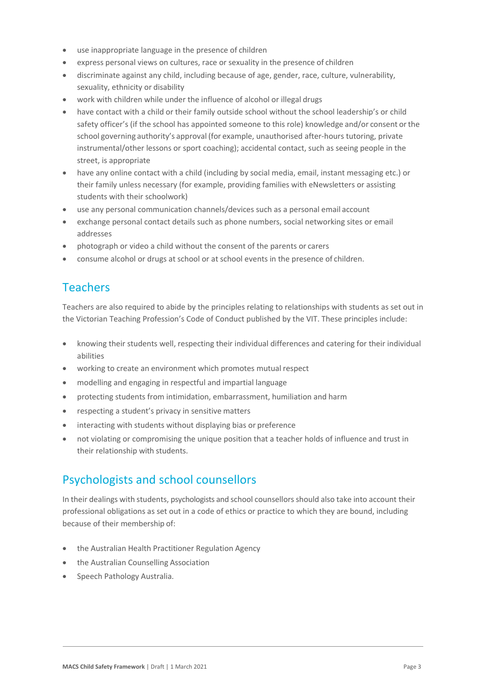- use inappropriate language in the presence of children
- express personal views on cultures, race or sexuality in the presence of children
- discriminate against any child, including because of age, gender, race, culture, vulnerability, sexuality, ethnicity or disability
- work with children while under the influence of alcohol or illegal drugs
- have contact with a child or their family outside school without the school leadership's or child safety officer's (if the school has appointed someone to this role) knowledge and/or consent orthe school governing authority's approval (for example, unauthorised after-hours tutoring, private instrumental/other lessons or sport coaching); accidental contact, such as seeing people in the street, is appropriate
- have any online contact with a child (including by social media, email, instant messaging etc.) or their family unless necessary (for example, providing families with eNewsletters or assisting students with their schoolwork)
- use any personal communication channels/devices such as a personal email account
- exchange personal contact details such as phone numbers, social networking sites or email addresses
- photograph or video a child without the consent of the parents or carers
- consume alcohol or drugs at school or at school events in the presence of children.

## **Teachers**

Teachers are also required to abide by the principles relating to relationships with students as set out in the Victorian Teaching Profession's Code of Conduct published by the VIT. These principles include:

- knowing their students well, respecting their individual differences and catering for their individual abilities
- working to create an environment which promotes mutual respect
- modelling and engaging in respectful and impartial language
- protecting students from intimidation, embarrassment, humiliation and harm
- respecting a student's privacy in sensitive matters
- interacting with students without displaying bias or preference
- not violating or compromising the unique position that a teacher holds of influence and trust in their relationship with students.

#### Psychologists and school counsellors

In their dealings with students, psychologists and school counsellorsshould also take into account their professional obligations as set out in a code of ethics or practice to which they are bound, including because of their membership of:

- the Australian Health Practitioner Regulation Agency
- the Australian Counselling Association
- Speech Pathology Australia.